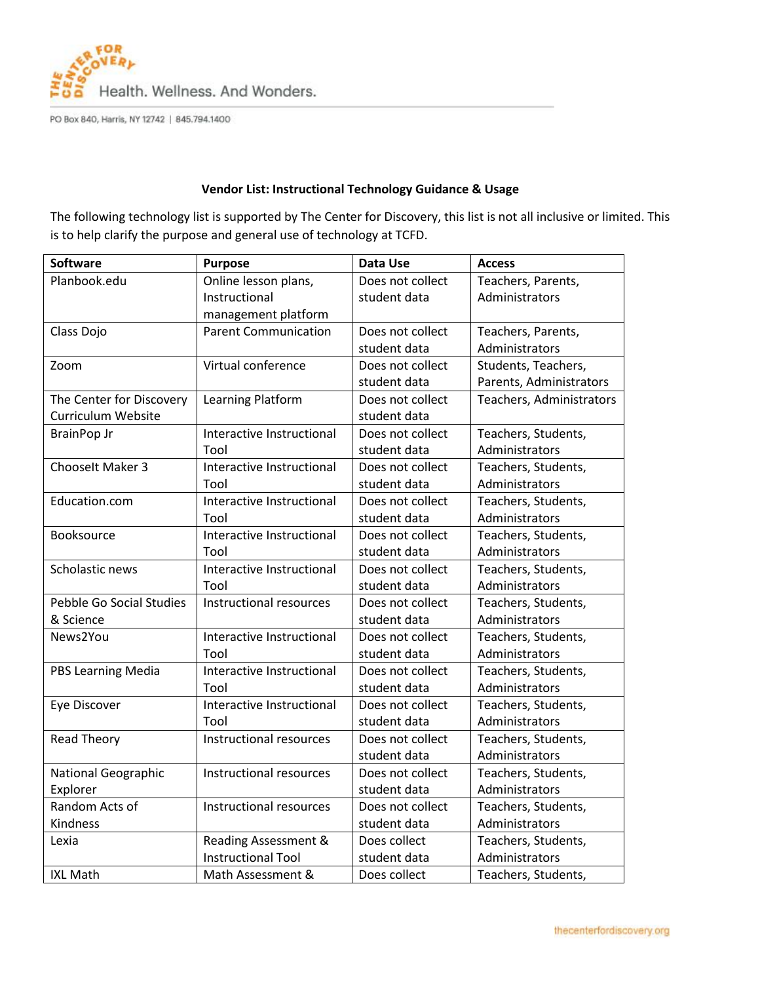

PO Box 840, Harris, NY 12742 | 845.794.1400

## **Vendor List: Instructional Technology Guidance & Usage**

The following technology list is supported by The Center for Discovery, this list is not all inclusive or limited. This is to help clarify the purpose and general use of technology at TCFD.

| Software                   | <b>Purpose</b>              | Data Use         | <b>Access</b>            |
|----------------------------|-----------------------------|------------------|--------------------------|
| Planbook.edu               | Online lesson plans,        | Does not collect | Teachers, Parents,       |
|                            | Instructional               | student data     | Administrators           |
|                            | management platform         |                  |                          |
| Class Dojo                 | <b>Parent Communication</b> | Does not collect | Teachers, Parents,       |
|                            |                             | student data     | Administrators           |
| Zoom                       | Virtual conference          | Does not collect | Students, Teachers,      |
|                            |                             | student data     | Parents, Administrators  |
| The Center for Discovery   | Learning Platform           | Does not collect | Teachers, Administrators |
| Curriculum Website         |                             | student data     |                          |
| <b>BrainPop Jr</b>         | Interactive Instructional   | Does not collect | Teachers, Students,      |
|                            | Tool                        | student data     | Administrators           |
| Chooselt Maker 3           | Interactive Instructional   | Does not collect | Teachers, Students,      |
|                            | Tool                        | student data     | Administrators           |
| Education.com              | Interactive Instructional   | Does not collect | Teachers, Students,      |
|                            | Tool                        | student data     | Administrators           |
| Booksource                 | Interactive Instructional   | Does not collect | Teachers, Students,      |
|                            | Tool                        | student data     | Administrators           |
| Scholastic news            | Interactive Instructional   | Does not collect | Teachers, Students,      |
|                            | Tool                        | student data     | Administrators           |
| Pebble Go Social Studies   | Instructional resources     | Does not collect | Teachers, Students,      |
| & Science                  |                             | student data     | Administrators           |
| News2You                   | Interactive Instructional   | Does not collect | Teachers, Students,      |
|                            | Tool                        | student data     | Administrators           |
| <b>PBS Learning Media</b>  | Interactive Instructional   | Does not collect | Teachers, Students,      |
|                            | Tool                        | student data     | Administrators           |
| Eye Discover               | Interactive Instructional   | Does not collect | Teachers, Students,      |
|                            | Tool                        | student data     | Administrators           |
| <b>Read Theory</b>         | Instructional resources     | Does not collect | Teachers, Students,      |
|                            |                             | student data     | Administrators           |
| <b>National Geographic</b> | Instructional resources     | Does not collect | Teachers, Students,      |
| Explorer                   |                             | student data     | Administrators           |
| Random Acts of             | Instructional resources     | Does not collect | Teachers, Students,      |
| Kindness                   |                             | student data     | Administrators           |
| Lexia                      | Reading Assessment &        | Does collect     | Teachers, Students,      |
|                            | <b>Instructional Tool</b>   | student data     | Administrators           |
| <b>IXL Math</b>            | Math Assessment &           | Does collect     | Teachers, Students,      |